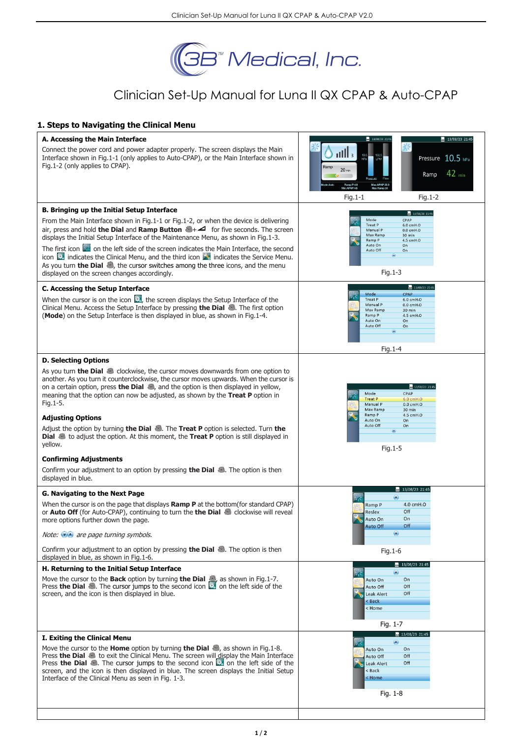

# Clinician Set-Up Manual for Luna II QX CPAP & Auto-CPAP

## **1. Steps to Navigating the Clinical Menu**

| A. Accessing the Main Interface                                                                                                                                                                                                                                                                                                                                                                                                                                                                                                                                                                                                                                                                                                                                                                       | $-13/08/23$ 21:45<br>13/08/23 21:45                                                                                                                                                                                         |
|-------------------------------------------------------------------------------------------------------------------------------------------------------------------------------------------------------------------------------------------------------------------------------------------------------------------------------------------------------------------------------------------------------------------------------------------------------------------------------------------------------------------------------------------------------------------------------------------------------------------------------------------------------------------------------------------------------------------------------------------------------------------------------------------------------|-----------------------------------------------------------------------------------------------------------------------------------------------------------------------------------------------------------------------------|
| Connect the power cord and power adapter properly. The screen displays the Main<br>Interface shown in Fig.1-1 (only applies to Auto-CPAP), or the Main Interface shown in<br>Fig.1-2 (only applies to CPAP).                                                                                                                                                                                                                                                                                                                                                                                                                                                                                                                                                                                          | $\frac{1}{2}$<br>10.5<br>100.5<br>Pressure 10.5 hPa<br>LPM<br>Ramp<br>$20$ min<br>$42$ <sub>min</sub><br>Ramp<br>Ramp P:4.0<br>Min APAP:4.5<br>Max APAP:20.0<br>Max Ramp:30<br>$Fig. 1-1$<br>$Fig.1-2$                      |
| B. Bringing up the Initial Setup Interface                                                                                                                                                                                                                                                                                                                                                                                                                                                                                                                                                                                                                                                                                                                                                            |                                                                                                                                                                                                                             |
| From the Main Interface shown in Fig.1-1 or Fig.1-2, or when the device is delivering<br>air, press and hold the Dial and Ramp Button $\blacktriangle$ for five seconds. The screen<br>displays the Initial Setup Interface of the Maintenance Menu, as shown in Fig.1-3.<br>The first icon in the left side of the screen indicates the Main Interface, the second<br>icon $\mathbb{R}$ indicates the Clinical Menu, and the third icon $\mathbb{R}$ indicates the Service Menu.<br>As you turn the Dial . the cursor switches among the three icons, and the menu<br>displayed on the screen changes accordingly.                                                                                                                                                                                   | $- 13/08/23$ 21:45<br>Mode<br>CPAP<br>Treat P<br>6.0 cmH <sub>2</sub> O<br>Manual P<br>$0.0$ cmH $,0$<br>Max Ramp<br>30 min<br>Ramp P<br>4.5 cmH <sub>2</sub> O<br>Auto On<br>On<br>Auto Off<br>On<br>Fig. $1-3$            |
|                                                                                                                                                                                                                                                                                                                                                                                                                                                                                                                                                                                                                                                                                                                                                                                                       |                                                                                                                                                                                                                             |
| C. Accessing the Setup Interface<br>When the cursor is on the icon $\mathbb{Z}$ , the screen displays the Setup Interface of the<br>Clinical Menu. Access the Setup Interface by pressing the Dial . The first option<br>(Mode) on the Setup Interface is then displayed in blue, as shown in Fig.1-4.                                                                                                                                                                                                                                                                                                                                                                                                                                                                                                | 13/08/23 21:45<br>Mode<br>CPAP<br><b>Treat P</b><br>6.0 cmH <sub>2</sub> O<br>Manual P<br>$0.0$ cmH $,$ O<br>Max Ramp<br>30 min<br>Ramp P<br>4.5 cmH <sub>0</sub><br>Auto On<br>On<br>Auto Off<br>On<br>$\odot$             |
|                                                                                                                                                                                                                                                                                                                                                                                                                                                                                                                                                                                                                                                                                                                                                                                                       | Fig. $1-4$                                                                                                                                                                                                                  |
| <b>D. Selecting Options</b><br>As you turn <b>the Dial</b> $\blacksquare$ clockwise, the cursor moves downwards from one option to<br>another. As you turn it counterclockwise, the cursor moves upwards. When the cursor is<br>on a certain option, press the Dial $\clubsuit$ , and the option is then displayed in yellow,<br>meaning that the option can now be adjusted, as shown by the Treat P option in<br>Fig. 1-5.<br><b>Adjusting Options</b><br>Adjust the option by turning the Dial $\bullet$ . The Treat P option is selected. Turn the<br><b>Dial</b> $\clubsuit$ to adjust the option. At this moment, the <b>Treat P</b> option is still displayed in<br>yellow.<br><b>Confirming Adjustments</b><br>Confirm your adjustment to an option by pressing the Dial . The option is then | 2 13/08/23 21:45<br>Mode<br>CPAP<br><b>Treat P</b><br>6,0 cmH <sub>,</sub> O<br>Manual P<br>$0.0$ cmH $,$ O<br>Max Ramp<br>30 min<br>Ramp P<br>4.5 cmH <sub>2</sub> O<br>Auto On<br>On<br>Auto Off<br>On<br>۷<br>Fig. $1-5$ |
| displayed in blue.                                                                                                                                                                                                                                                                                                                                                                                                                                                                                                                                                                                                                                                                                                                                                                                    |                                                                                                                                                                                                                             |
| G. Navigating to the Next Page                                                                                                                                                                                                                                                                                                                                                                                                                                                                                                                                                                                                                                                                                                                                                                        | 13/08/23 21:45                                                                                                                                                                                                              |
| When the cursor is on the page that displays <b>Ramp P</b> at the bottom(for standard CPAP)<br>or <b>Auto Off</b> (for Auto-CPAP), continuing to turn the <b>the Dial</b> Clockwise will reveal<br>more options further down the page.<br>Note: $\bullet\bullet$ are page turning symbols.                                                                                                                                                                                                                                                                                                                                                                                                                                                                                                            | $\bullet$<br>Ramp P<br>4.0 cmH <sub>2</sub> O<br>Off<br>Reslex<br>Auto On<br>On<br>Off<br>Auto Off<br>$\bullet$                                                                                                             |
| Confirm your adjustment to an option by pressing the Dial . The option is then<br>displayed in blue, as shown in Fig.1-6.                                                                                                                                                                                                                                                                                                                                                                                                                                                                                                                                                                                                                                                                             | Fig. 1-6                                                                                                                                                                                                                    |
| H. Returning to the Initial Setup Interface                                                                                                                                                                                                                                                                                                                                                                                                                                                                                                                                                                                                                                                                                                                                                           | $\frac{1}{22}$ 13/08/23 21:45                                                                                                                                                                                               |
| Move the cursor to the <b>Back</b> option by turning <b>the Dial</b> $\triangle$ , as shown in Fig.1-7.<br>Press the Dial . The cursor jumps to the second icon the left side of the<br>screen, and the icon is then displayed in blue.                                                                                                                                                                                                                                                                                                                                                                                                                                                                                                                                                               | $\bullet$<br>On<br>Auto On<br>Off<br>Auto Off<br>Off<br>Leak Alert<br>< Back<br>< Home<br>Fig. 1-7                                                                                                                          |
| I. Exiting the Clinical Menu                                                                                                                                                                                                                                                                                                                                                                                                                                                                                                                                                                                                                                                                                                                                                                          | 13/08/23 21:45<br>◉                                                                                                                                                                                                         |
| Move the cursor to the <b>Home</b> option by turning <b>the Dial</b> $\bullet$ , as shown in Fig.1-8.<br>Press the Dial is to exit the Clinical Menu. The screen will display the Main Interface<br>Press the Dial . The cursor jumps to the second icon the left side of the<br>screen, and the icon is then displayed in blue. The screen displays the Initial Setup<br>Interface of the Clinical Menu as seen in Fig. 1-3.                                                                                                                                                                                                                                                                                                                                                                         | On<br>Auto On<br>Off<br>Auto Off<br>Off<br>Leak Alert<br>< Back<br>< Home<br>Fig. $1-8$                                                                                                                                     |
|                                                                                                                                                                                                                                                                                                                                                                                                                                                                                                                                                                                                                                                                                                                                                                                                       |                                                                                                                                                                                                                             |
|                                                                                                                                                                                                                                                                                                                                                                                                                                                                                                                                                                                                                                                                                                                                                                                                       |                                                                                                                                                                                                                             |